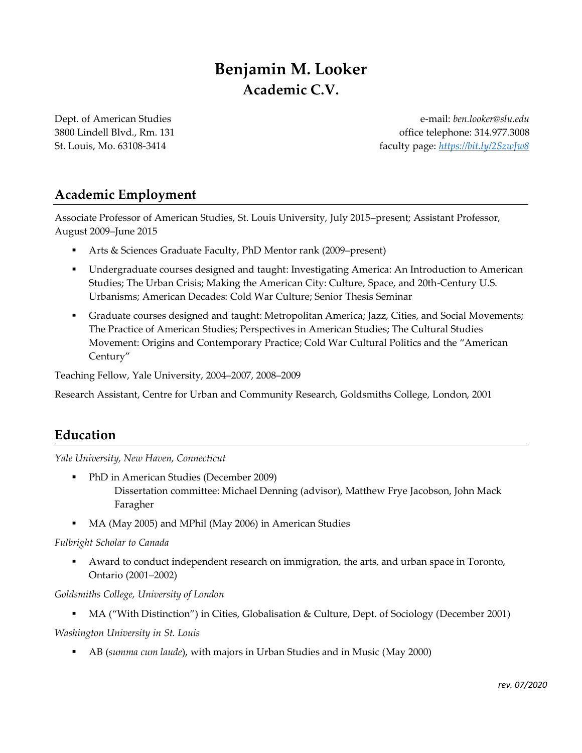# **Benjamin M. Looker Academic C.V.**

Dept. of American Studies 3800 Lindell Blvd., Rm. 131 St. Louis, Mo. 63108-3414

e-mail: *ben.looker@slu.edu* office telephone: 314.977.3008 faculty page: *<https://bit.ly/2SzwJw8>*

# **Academic Employment**

Associate Professor of American Studies, St. Louis University, July 2015–present; Assistant Professor, August 2009–June 2015

- Arts & Sciences Graduate Faculty, PhD Mentor rank (2009–present)
- Undergraduate courses designed and taught: Investigating America: An Introduction to American Studies; The Urban Crisis; Making the American City: Culture, Space, and 20th-Century U.S. Urbanisms; American Decades: Cold War Culture; Senior Thesis Seminar
- Graduate courses designed and taught: Metropolitan America; Jazz, Cities, and Social Movements; The Practice of American Studies; Perspectives in American Studies; The Cultural Studies Movement: Origins and Contemporary Practice; Cold War Cultural Politics and the "American Century"

Teaching Fellow, Yale University, 2004–2007, 2008–2009

Research Assistant, Centre for Urban and Community Research, Goldsmiths College, London, 2001

# **Education**

*Yale University, New Haven, Connecticut*

- PhD in American Studies (December 2009) Dissertation committee: Michael Denning (advisor), Matthew Frye Jacobson, John Mack Faragher
- MA (May 2005) and MPhil (May 2006) in American Studies

#### *Fulbright Scholar to Canada*

▪ Award to conduct independent research on immigration, the arts, and urban space in Toronto, Ontario (2001–2002)

#### *Goldsmiths College, University of London*

■ MA ("With Distinction") in Cities, Globalisation & Culture, Dept. of Sociology (December 2001)

*Washington University in St. Louis*

▪ AB (*summa cum laude*), with majors in Urban Studies and in Music (May 2000)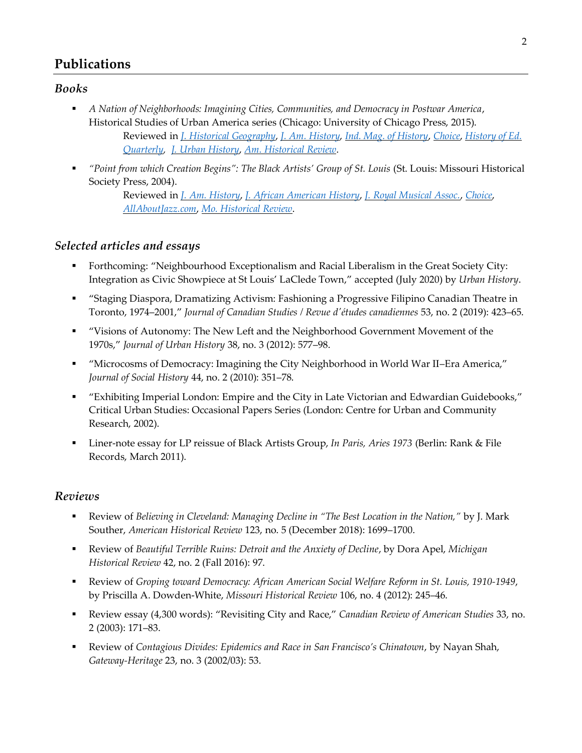# **Publications**

### *Books*

- *A Nation of Neighborhoods: Imagining Cities, Communities, and Democracy in Postwar America*, Historical Studies of Urban America series (Chicago: University of Chicago Press, 2015). Reviewed in *[J. Historical Geography](https://www.sciencedirect.com/science/article/pii/S0305748816301785)*, *J. Am. [History](https://academic.oup.com/jah/article/103/4/1095/3052572)*, *[Ind. Mag. of History](https://scholarworks.iu.edu/journals/index.php/imh/article/view/25503/31312)*, *[Choice](http://www.choicereviews.org/review/10.5860/CHOICE.196139)*, *[History of Ed.](https://www.cambridge.org/core/journals/history-of-education-quarterly/article/benjamin-looker-a-nation-of-neighborhoods-imagining-cities-communities-and-democracy-in-postwar-america-chicago-university-of-chicago-press-2015-432-pp/1769E8F63E1CF1353AE6A20355EB4A70) [Quarterly,](https://www.cambridge.org/core/journals/history-of-education-quarterly/article/benjamin-looker-a-nation-of-neighborhoods-imagining-cities-communities-and-democracy-in-postwar-america-chicago-university-of-chicago-press-2015-432-pp/1769E8F63E1CF1353AE6A20355EB4A70) [J. Urban History](https://journals.sagepub.com/doi/full/10.1177/0096144218769889)*, *Am. [Historical Review](https://academic.oup.com/ahr/article/122/1/196/2967225)*.
- *"Point from which Creation Begins": The Black Artists' Group of St. Louis* (St. Louis: Missouri Historical Society Press, 2004).

Reviewed in *J. Am. [History](https://academic.oup.com/jah/article/92/4/1514/743374)*, *[J. African American History](https://www.jstor.org/stable/20064085?seq=1#metadata_info_tab_contents)*, *[J. Royal Musical Assoc.](https://www.jstor.org/stable/30161403?seq=1#metadata_info_tab_contents)*, *[Choice](http://www.prosatelliteinternet.com/?page=reviewdisplay&pid=2943205)*, *[AllAboutJazz.com](https://www.allaboutjazz.com/point-from-which-creation-begins-the-black-artists-group-of-st-louis-by-aaj-staff.php)*, *[Mo. Historical Review](https://www.slu.edu/arts-and-sciences/american-studies/pdfs/missouri-history-review-bag.pdf)*.

### *Selected articles and essays*

- Forthcoming: "Neighbourhood Exceptionalism and Racial Liberalism in the Great Society City: Integration as Civic Showpiece at St Louis' LaClede Town," accepted (July 2020) by *Urban History*.
- "Staging Diaspora, Dramatizing Activism: Fashioning a Progressive Filipino Canadian Theatre in Toronto, 1974–2001," *Journal of Canadian Studies / Revue d'études canadiennes* 53, no. 2 (2019): 423–65.
- "Visions of Autonomy: The New Left and the Neighborhood Government Movement of the 1970s," *Journal of Urban History* 38, no. 3 (2012): 577–98.
- "Microcosms of Democracy: Imagining the City Neighborhood in World War II–Era America," *Journal of Social History* 44, no. 2 (2010): 351–78.
- "Exhibiting Imperial London: Empire and the City in Late Victorian and Edwardian Guidebooks," Critical Urban Studies: Occasional Papers Series (London: Centre for Urban and Community Research, 2002).
- Liner-note essay for LP reissue of Black Artists Group, *In Paris, Aries 1973* (Berlin: Rank & File Records, March 2011).

### *Reviews*

- Review of *Believing in Cleveland: Managing Decline in "The Best Location in the Nation,"* by J. Mark Souther, *American Historical Review* 123, no. 5 (December 2018): 1699–1700.
- Review of *Beautiful Terrible Ruins: Detroit and the Anxiety of Decline*, by Dora Apel, *Michigan Historical Review* 42, no. 2 (Fall 2016): 97.
- Review of *Groping toward Democracy: African American Social Welfare Reform in St. Louis, 1910-1949*, by Priscilla A. Dowden-White, *Missouri Historical Review* 106, no. 4 (2012): 245–46.
- Review essay (4,300 words): "Revisiting City and Race," *Canadian Review of American Studies* 33, no. 2 (2003): 171–83.
- Review of *Contagious Divides: Epidemics and Race in San Francisco's Chinatown*, by Nayan Shah, *Gateway-Heritage* 23, no. 3 (2002/03): 53.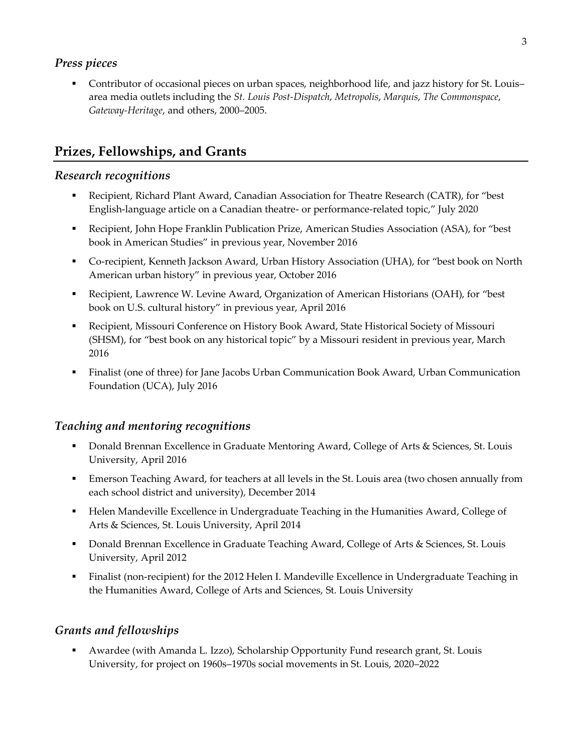### *Press pieces*

■ Contributor of occasional pieces on urban spaces, neighborhood life, and jazz history for St. Louis– area media outlets including the *St. Louis Post-Dispatch*, *Metropolis*, *Marquis*, *The Commonspace*, *Gateway-Heritage*, and others, 2000–2005.

# **Prizes, Fellowships, and Grants**

### *Research recognitions*

- Recipient, Richard Plant Award, Canadian Association for Theatre Research (CATR), for "best English-language article on a Canadian theatre- or performance-related topic," July 2020
- Recipient, John Hope Franklin Publication Prize, American Studies Association (ASA), for "best book in American Studies" in previous year, November 2016
- Co-recipient, Kenneth Jackson Award, Urban History Association (UHA), for "best book on North American urban history" in previous year, October 2016
- Recipient, Lawrence W. Levine Award, Organization of American Historians (OAH), for "best book on U.S. cultural history" in previous year, April 2016
- Recipient, Missouri Conference on History Book Award, State Historical Society of Missouri (SHSM), for "best book on any historical topic" by a Missouri resident in previous year, March 2016
- Finalist (one of three) for Jane Jacobs Urban Communication Book Award, Urban Communication Foundation (UCA), July 2016

# *Teaching and mentoring recognitions*

- **Donald Brennan Excellence in Graduate Mentoring Award, College of Arts & Sciences, St. Louis** University, April 2016
- **Emerson Teaching Award, for teachers at all levels in the St. Louis area (two chosen annually from** each school district and university), December 2014
- Helen Mandeville Excellence in Undergraduate Teaching in the Humanities Award, College of Arts & Sciences, St. Louis University, April 2014
- **Donald Brennan Excellence in Graduate Teaching Award, College of Arts & Sciences, St. Louis** University, April 2012
- Finalist (non-recipient) for the 2012 Helen I. Mandeville Excellence in Undergraduate Teaching in the Humanities Award, College of Arts and Sciences, St. Louis University

# *Grants and fellowships*

▪ Awardee (with Amanda L. Izzo), Scholarship Opportunity Fund research grant, St. Louis University, for project on 1960s–1970s social movements in St. Louis, 2020–2022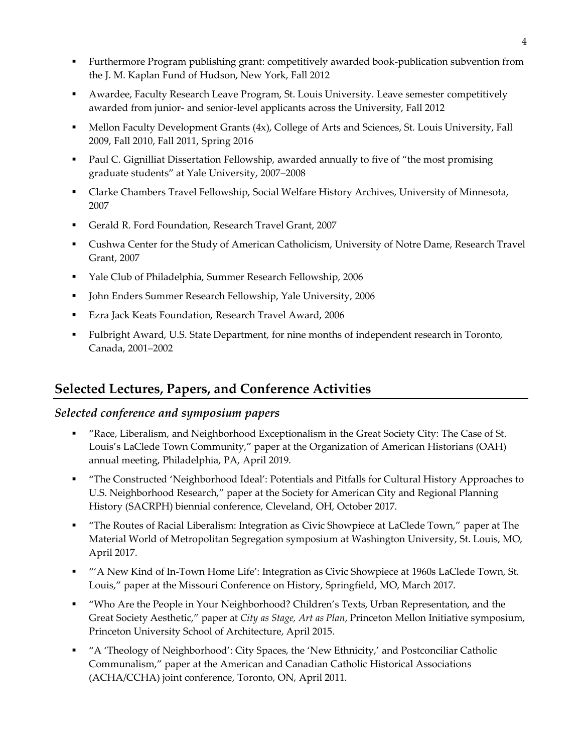- Furthermore Program publishing grant: competitively awarded book-publication subvention from the J. M. Kaplan Fund of Hudson, New York, Fall 2012
- Awardee, Faculty Research Leave Program, St. Louis University. Leave semester competitively awarded from junior- and senior-level applicants across the University, Fall 2012
- Mellon Faculty Development Grants (4x), College of Arts and Sciences, St. Louis University, Fall 2009, Fall 2010, Fall 2011, Spring 2016
- **•** Paul C. Gignilliat Dissertation Fellowship, awarded annually to five of "the most promising" graduate students" at Yale University, 2007–2008
- Clarke Chambers Travel Fellowship, Social Welfare History Archives, University of Minnesota, 2007
- Gerald R. Ford Foundation, Research Travel Grant, 2007
- Cushwa Center for the Study of American Catholicism, University of Notre Dame, Research Travel Grant, 2007
- Yale Club of Philadelphia, Summer Research Fellowship, 2006
- John Enders Summer Research Fellowship, Yale University, 2006
- Ezra Jack Keats Foundation, Research Travel Award, 2006
- Fulbright Award, U.S. State Department, for nine months of independent research in Toronto, Canada, 2001–2002

# **Selected Lectures, Papers, and Conference Activities**

#### *Selected conference and symposium papers*

- "Race, Liberalism, and Neighborhood Exceptionalism in the Great Society City: The Case of St. Louis's LaClede Town Community," paper at the Organization of American Historians (OAH) annual meeting, Philadelphia, PA, April 2019.
- "The Constructed 'Neighborhood Ideal': Potentials and Pitfalls for Cultural History Approaches to U.S. Neighborhood Research," paper at the Society for American City and Regional Planning History (SACRPH) biennial conference, Cleveland, OH, October 2017.
- "The Routes of Racial Liberalism: Integration as Civic Showpiece at LaClede Town," paper at The Material World of Metropolitan Segregation symposium at Washington University, St. Louis, MO, April 2017.
- "'A New Kind of In-Town Home Life': Integration as Civic Showpiece at 1960s LaClede Town, St. Louis," paper at the Missouri Conference on History, Springfield, MO, March 2017.
- "Who Are the People in Your Neighborhood? Children's Texts, Urban Representation, and the Great Society Aesthetic," paper at *City as Stage, Art as Plan*, Princeton Mellon Initiative symposium, Princeton University School of Architecture, April 2015.
- "A 'Theology of Neighborhood': City Spaces, the 'New Ethnicity,' and Postconciliar Catholic Communalism," paper at the American and Canadian Catholic Historical Associations (ACHA/CCHA) joint conference, Toronto, ON, April 2011.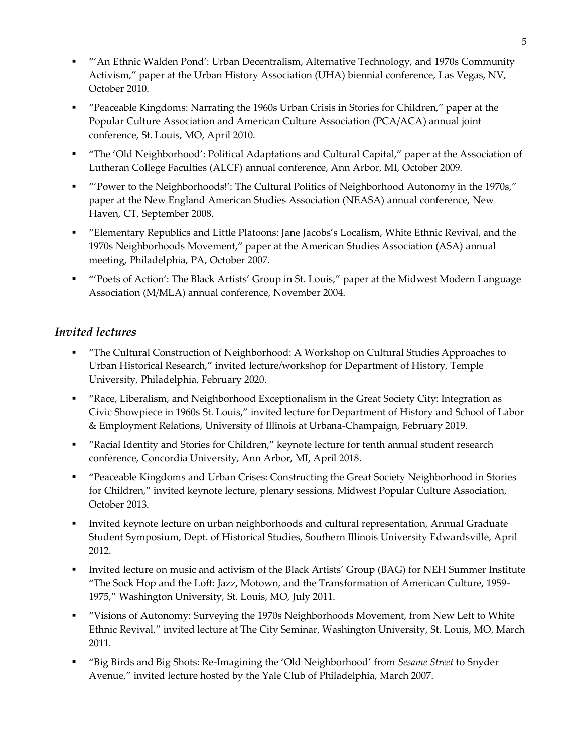- "An Ethnic Walden Pond': Urban Decentralism, Alternative Technology, and 1970s Community Activism," paper at the Urban History Association (UHA) biennial conference, Las Vegas, NV, October 2010.
- "Peaceable Kingdoms: Narrating the 1960s Urban Crisis in Stories for Children," paper at the Popular Culture Association and American Culture Association (PCA/ACA) annual joint conference, St. Louis, MO, April 2010.
- "The 'Old Neighborhood': Political Adaptations and Cultural Capital," paper at the Association of Lutheran College Faculties (ALCF) annual conference, Ann Arbor, MI, October 2009.
- "'Power to the Neighborhoods!': The Cultural Politics of Neighborhood Autonomy in the 1970s," paper at the New England American Studies Association (NEASA) annual conference, New Haven, CT, September 2008.
- "Elementary Republics and Little Platoons: Jane Jacobs's Localism, White Ethnic Revival, and the 1970s Neighborhoods Movement," paper at the American Studies Association (ASA) annual meeting, Philadelphia, PA, October 2007.
- "'Poets of Action': The Black Artists' Group in St. Louis," paper at the Midwest Modern Language Association (M/MLA) annual conference, November 2004.

### *Invited lectures*

- "The Cultural Construction of Neighborhood: A Workshop on Cultural Studies Approaches to Urban Historical Research," invited lecture/workshop for Department of History, Temple University, Philadelphia, February 2020.
- "Race, Liberalism, and Neighborhood Exceptionalism in the Great Society City: Integration as Civic Showpiece in 1960s St. Louis," invited lecture for Department of History and School of Labor & Employment Relations, University of Illinois at Urbana-Champaign, February 2019.
- "Racial Identity and Stories for Children," keynote lecture for tenth annual student research conference, Concordia University, Ann Arbor, MI, April 2018.
- "Peaceable Kingdoms and Urban Crises: Constructing the Great Society Neighborhood in Stories for Children," invited keynote lecture, plenary sessions, Midwest Popular Culture Association, October 2013.
- Invited keynote lecture on urban neighborhoods and cultural representation, Annual Graduate Student Symposium, Dept. of Historical Studies, Southern Illinois University Edwardsville, April 2012.
- Invited lecture on music and activism of the Black Artists' Group (BAG) for NEH Summer Institute "The Sock Hop and the Loft: Jazz, Motown, and the Transformation of American Culture, 1959- 1975," Washington University, St. Louis, MO, July 2011.
- "Visions of Autonomy: Surveying the 1970s Neighborhoods Movement, from New Left to White Ethnic Revival," invited lecture at The City Seminar, Washington University, St. Louis, MO, March 2011.
- "Big Birds and Big Shots: Re-Imagining the 'Old Neighborhood' from *Sesame Street* to Snyder Avenue," invited lecture hosted by the Yale Club of Philadelphia, March 2007.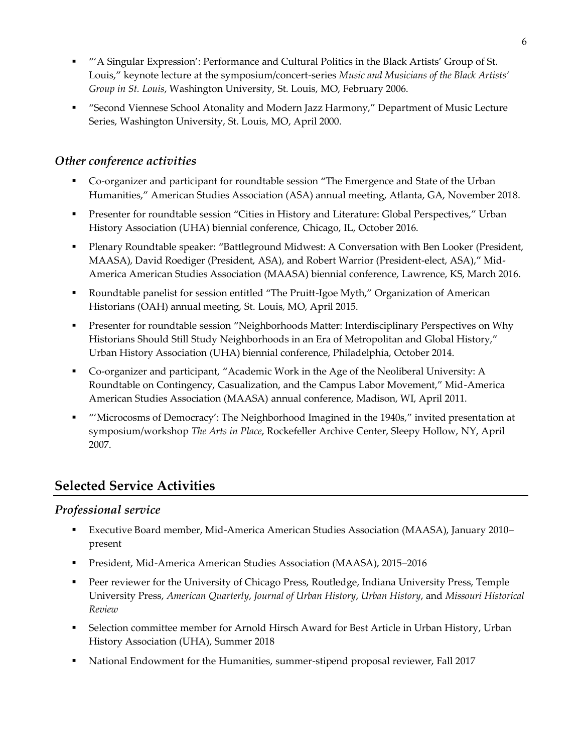- "'A Singular Expression': Performance and Cultural Politics in the Black Artists' Group of St. Louis," keynote lecture at the symposium/concert-series *Music and Musicians of the Black Artists' Group in St. Louis*, Washington University, St. Louis, MO, February 2006.
- "Second Viennese School Atonality and Modern Jazz Harmony," Department of Music Lecture Series, Washington University, St. Louis, MO, April 2000.

### *Other conference activities*

- Co-organizer and participant for roundtable session "The Emergence and State of the Urban Humanities," American Studies Association (ASA) annual meeting, Atlanta, GA, November 2018.
- Presenter for roundtable session "Cities in History and Literature: Global Perspectives," Urban History Association (UHA) biennial conference, Chicago, IL, October 2016.
- Plenary Roundtable speaker: "Battleground Midwest: A Conversation with Ben Looker (President, MAASA), David Roediger (President, ASA), and Robert Warrior (President-elect, ASA)," Mid-America American Studies Association (MAASA) biennial conference, Lawrence, KS, March 2016.
- Roundtable panelist for session entitled "The Pruitt-Igoe Myth," Organization of American Historians (OAH) annual meeting, St. Louis, MO, April 2015.
- **•** Presenter for roundtable session "Neighborhoods Matter: Interdisciplinary Perspectives on Why Historians Should Still Study Neighborhoods in an Era of Metropolitan and Global History," Urban History Association (UHA) biennial conference, Philadelphia, October 2014.
- Co-organizer and participant, "Academic Work in the Age of the Neoliberal University: A Roundtable on Contingency, Casualization, and the Campus Labor Movement," Mid-America American Studies Association (MAASA) annual conference, Madison, WI, April 2011.
- "'Microcosms of Democracy': The Neighborhood Imagined in the 1940s," invited presentation at symposium/workshop *The Arts in Place*, Rockefeller Archive Center, Sleepy Hollow, NY, April 2007.

# **Selected Service Activities**

# *Professional service*

- Executive Board member, Mid-America American Studies Association (MAASA), January 2010– present
- President, Mid-America American Studies Association (MAASA), 2015–2016
- Peer reviewer for the University of Chicago Press, Routledge, Indiana University Press, Temple University Press, *American Quarterly*, *Journal of Urban History*, *Urban History*, and *Missouri Historical Review*
- **•** Selection committee member for Arnold Hirsch Award for Best Article in Urban History, Urban History Association (UHA), Summer 2018
- National Endowment for the Humanities, summer-stipend proposal reviewer, Fall 2017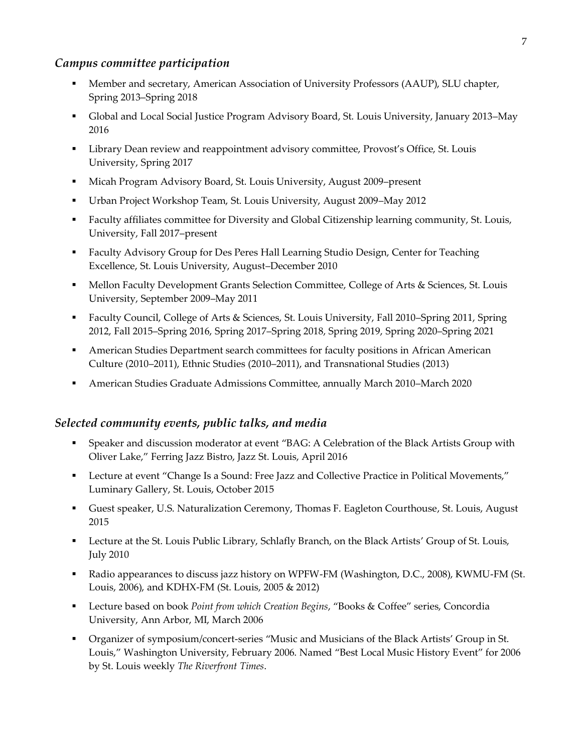### *Campus committee participation*

- Member and secretary, American Association of University Professors (AAUP), SLU chapter, Spring 2013–Spring 2018
- Global and Local Social Justice Program Advisory Board, St. Louis University, January 2013–May 2016
- **•** Library Dean review and reappointment advisory committee, Provost's Office, St. Louis University, Spring 2017
- Micah Program Advisory Board, St. Louis University, August 2009–present
- Urban Project Workshop Team, St. Louis University, August 2009–May 2012
- Faculty affiliates committee for Diversity and Global Citizenship learning community, St. Louis, University, Fall 2017–present
- Faculty Advisory Group for Des Peres Hall Learning Studio Design, Center for Teaching Excellence, St. Louis University, August–December 2010
- **Mellon Faculty Development Grants Selection Committee, College of Arts & Sciences, St. Louis** University, September 2009–May 2011
- Faculty Council, College of Arts & Sciences, St. Louis University, Fall 2010–Spring 2011, Spring 2012, Fall 2015–Spring 2016, Spring 2017–Spring 2018, Spring 2019, Spring 2020–Spring 2021
- **American Studies Department search committees for faculty positions in African American** Culture (2010–2011), Ethnic Studies (2010–2011), and Transnational Studies (2013)
- American Studies Graduate Admissions Committee, annually March 2010–March 2020

#### *Selected community events, public talks, and media*

- Speaker and discussion moderator at event "BAG: A Celebration of the Black Artists Group with Oliver Lake," Ferring Jazz Bistro, Jazz St. Louis, April 2016
- Lecture at event "Change Is a Sound: Free Jazz and Collective Practice in Political Movements," Luminary Gallery, St. Louis, October 2015
- Guest speaker, U.S. Naturalization Ceremony, Thomas F. Eagleton Courthouse, St. Louis, August 2015
- **•** Lecture at the St. Louis Public Library, Schlafly Branch, on the Black Artists' Group of St. Louis, July 2010
- Radio appearances to discuss jazz history on WPFW-FM (Washington, D.C., 2008), KWMU-FM (St. Louis, 2006), and KDHX-FM (St. Louis, 2005 & 2012)
- Lecture based on book *Point from which Creation Begins*, "Books & Coffee" series, Concordia University, Ann Arbor, MI, March 2006
- Organizer of symposium/concert-series "Music and Musicians of the Black Artists' Group in St. Louis," Washington University, February 2006. Named "Best Local Music History Event" for 2006 by St. Louis weekly *The Riverfront Times*.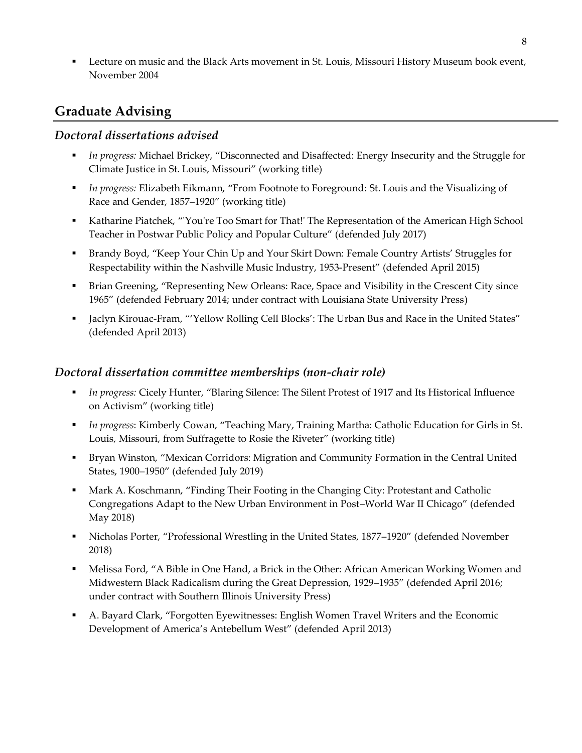**•** Lecture on music and the Black Arts movement in St. Louis, Missouri History Museum book event, November 2004

# **Graduate Advising**

### *Doctoral dissertations advised*

- In progress: Michael Brickey, "Disconnected and Disaffected: Energy Insecurity and the Struggle for Climate Justice in St. Louis, Missouri" (working title)
- *In progress:* Elizabeth Eikmann, "From Footnote to Foreground: St. Louis and the Visualizing of Race and Gender, 1857–1920" (working title)
- Katharine Piatchek, "'You're Too Smart for That!' The Representation of the American High School Teacher in Postwar Public Policy and Popular Culture" (defended July 2017)
- Brandy Boyd, "Keep Your Chin Up and Your Skirt Down: Female Country Artists' Struggles for Respectability within the Nashville Music Industry, 1953-Present" (defended April 2015)
- **Brian Greening, "Representing New Orleans: Race, Space and Visibility in the Crescent City since** 1965" (defended February 2014; under contract with Louisiana State University Press)
- Jaclyn Kirouac-Fram, "'Yellow Rolling Cell Blocks': The Urban Bus and Race in the United States" (defended April 2013)

#### *Doctoral dissertation committee memberships (non-chair role)*

- *In progress:* Cicely Hunter, "Blaring Silence: The Silent Protest of 1917 and Its Historical Influence on Activism" (working title)
- *In progress*: Kimberly Cowan, "Teaching Mary, Training Martha: Catholic Education for Girls in St. Louis, Missouri, from Suffragette to Rosie the Riveter" (working title)
- Bryan Winston, "Mexican Corridors: Migration and Community Formation in the Central United States, 1900–1950" (defended July 2019)
- **■** Mark A. Koschmann, "Finding Their Footing in the Changing City: Protestant and Catholic Congregations Adapt to the New Urban Environment in Post–World War II Chicago" (defended May 2018)
- Nicholas Porter, "Professional Wrestling in the United States, 1877–1920" (defended November 2018)
- **Melissa Ford, "A Bible in One Hand, a Brick in the Other: African American Working Women and** Midwestern Black Radicalism during the Great Depression, 1929–1935" (defended April 2016; under contract with Southern Illinois University Press)
- A. Bayard Clark, "Forgotten Eyewitnesses: English Women Travel Writers and the Economic Development of America's Antebellum West" (defended April 2013)